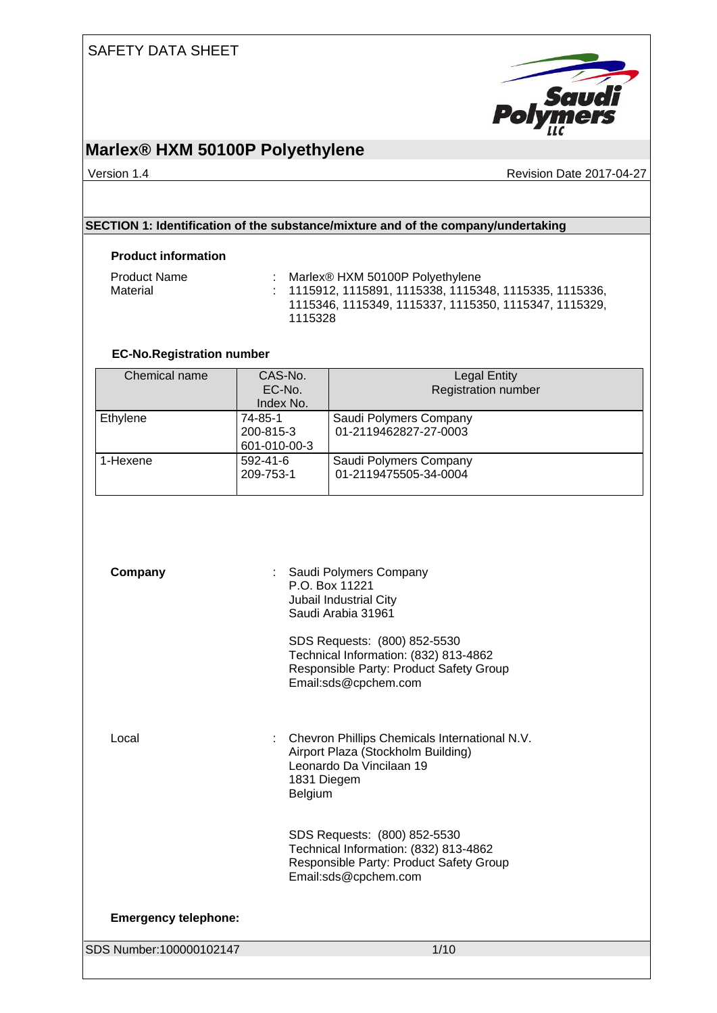

### **Marlex® HXM 50100P Polyethylene**

Version 1.4 **Version 1.4** Revision Date 2017-04-27

### **SECTION 1: Identification of the substance/mixture and of the company/undertaking**

### **Product information**

| <b>Product Name</b> | Marlex <sup>®</sup> HXM 50100P Polyethylene                                                                            |
|---------------------|------------------------------------------------------------------------------------------------------------------------|
| Material            | $\pm$ 1115912, 1115891, 1115338, 1115348, 1115335, 1115336, 1<br>1115346. 1115349. 1115337. 1115350. 1115347. 1115329. |
|                     | 1115328                                                                                                                |

### **EC-No.Registration number**

| Chemical name | CAS-No.        | <b>Legal Entity</b>        |
|---------------|----------------|----------------------------|
|               | EC-No.         | <b>Registration number</b> |
|               | Index No.      |                            |
| Ethylene      | 74-85-1        | Saudi Polymers Company     |
|               | 200-815-3      | 01-2119462827-27-0003      |
|               | 601-010-00-3   |                            |
| 1-Hexene      | $592 - 41 - 6$ | Saudi Polymers Company     |
|               | 209-753-1      | 01-2119475505-34-0004      |
|               |                |                            |

| Company                     | : Saudi Polymers Company<br>P.O. Box 11221<br>Jubail Industrial City<br>Saudi Arabia 31961                                                |
|-----------------------------|-------------------------------------------------------------------------------------------------------------------------------------------|
|                             | SDS Requests: (800) 852-5530<br>Technical Information: (832) 813-4862<br>Responsible Party: Product Safety Group<br>Email:sds@cpchem.com  |
| Local<br>÷                  | Chevron Phillips Chemicals International N.V.<br>Airport Plaza (Stockholm Building)<br>Leonardo Da Vincilaan 19<br>1831 Diegem<br>Belgium |
|                             | SDS Requests: (800) 852-5530<br>Technical Information: (832) 813-4862<br>Responsible Party: Product Safety Group<br>Email:sds@cpchem.com  |
| <b>Emergency telephone:</b> |                                                                                                                                           |
| SDS Number:100000102147     | 1/10                                                                                                                                      |
|                             |                                                                                                                                           |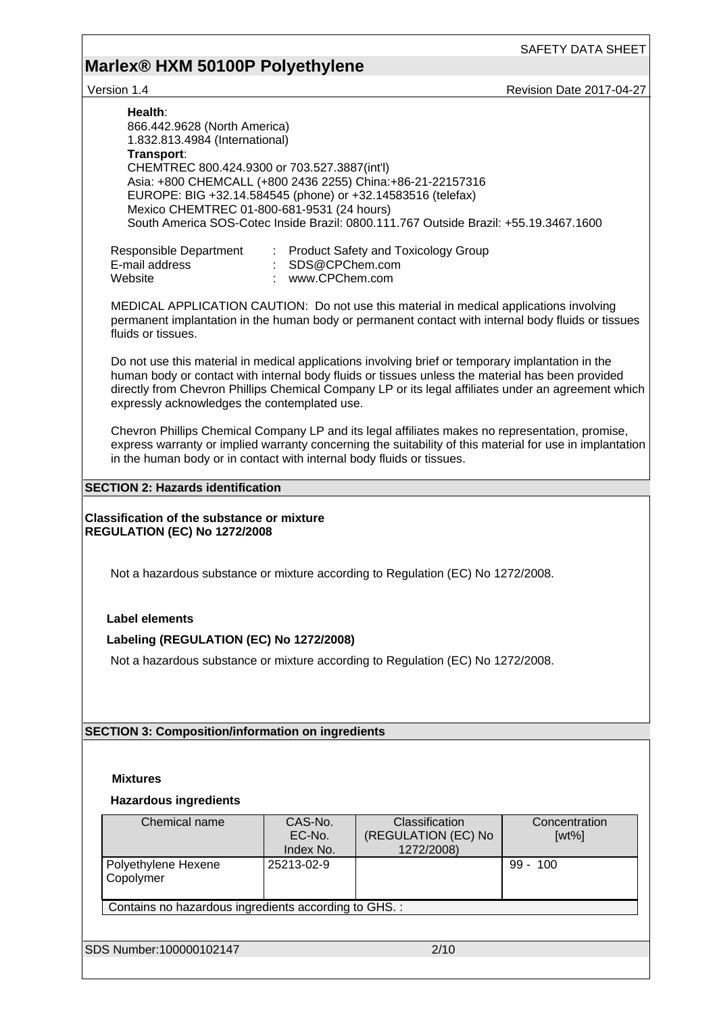# **Marlex® HXM 50100P Polyethylene**

Version 1.4 **Version 1.4** Revision Date 2017-04-27

| Health:<br>866.442.9628 (North America)<br>1.832.813.4984 (International)<br>Transport:<br>CHEMTREC 800.424.9300 or 703.527.3887(int'l)<br>Asia: +800 CHEMCALL (+800 2436 2255) China: +86-21-22157316<br>EUROPE: BIG +32.14.584545 (phone) or +32.14583516 (telefax)<br>Mexico CHEMTREC 01-800-681-9531 (24 hours) |                                                                                                                                                                                                                                                                                                                                                              | South America SOS-Cotec Inside Brazil: 0800.111.767 Outside Brazil: +55.19.3467.1600 |                           |  |  |  |
|---------------------------------------------------------------------------------------------------------------------------------------------------------------------------------------------------------------------------------------------------------------------------------------------------------------------|--------------------------------------------------------------------------------------------------------------------------------------------------------------------------------------------------------------------------------------------------------------------------------------------------------------------------------------------------------------|--------------------------------------------------------------------------------------|---------------------------|--|--|--|
| Responsible Department<br>E-mail address<br>Website                                                                                                                                                                                                                                                                 | : SDS@CPChem.com<br>www.CPChem.com                                                                                                                                                                                                                                                                                                                           | : Product Safety and Toxicology Group                                                |                           |  |  |  |
| MEDICAL APPLICATION CAUTION: Do not use this material in medical applications involving<br>permanent implantation in the human body or permanent contact with internal body fluids or tissues<br>fluids or tissues.                                                                                                 |                                                                                                                                                                                                                                                                                                                                                              |                                                                                      |                           |  |  |  |
|                                                                                                                                                                                                                                                                                                                     | Do not use this material in medical applications involving brief or temporary implantation in the<br>human body or contact with internal body fluids or tissues unless the material has been provided<br>directly from Chevron Phillips Chemical Company LP or its legal affiliates under an agreement which<br>expressly acknowledges the contemplated use. |                                                                                      |                           |  |  |  |
|                                                                                                                                                                                                                                                                                                                     | Chevron Phillips Chemical Company LP and its legal affiliates makes no representation, promise,<br>express warranty or implied warranty concerning the suitability of this material for use in implantation<br>in the human body or in contact with internal body fluids or tissues.                                                                         |                                                                                      |                           |  |  |  |
| <b>SECTION 2: Hazards identification</b>                                                                                                                                                                                                                                                                            |                                                                                                                                                                                                                                                                                                                                                              |                                                                                      |                           |  |  |  |
| <b>Classification of the substance or mixture</b><br>REGULATION (EC) No 1272/2008                                                                                                                                                                                                                                   |                                                                                                                                                                                                                                                                                                                                                              |                                                                                      |                           |  |  |  |
|                                                                                                                                                                                                                                                                                                                     | Not a hazardous substance or mixture according to Regulation (EC) No 1272/2008.                                                                                                                                                                                                                                                                              |                                                                                      |                           |  |  |  |
| <b>Label elements</b>                                                                                                                                                                                                                                                                                               |                                                                                                                                                                                                                                                                                                                                                              |                                                                                      |                           |  |  |  |
|                                                                                                                                                                                                                                                                                                                     |                                                                                                                                                                                                                                                                                                                                                              |                                                                                      |                           |  |  |  |
| Labeling (REGULATION (EC) No 1272/2008)                                                                                                                                                                                                                                                                             |                                                                                                                                                                                                                                                                                                                                                              |                                                                                      |                           |  |  |  |
| Not a hazardous substance or mixture according to Regulation (EC) No 1272/2008.                                                                                                                                                                                                                                     |                                                                                                                                                                                                                                                                                                                                                              |                                                                                      |                           |  |  |  |
|                                                                                                                                                                                                                                                                                                                     |                                                                                                                                                                                                                                                                                                                                                              |                                                                                      |                           |  |  |  |
| <b>SECTION 3: Composition/information on ingredients</b>                                                                                                                                                                                                                                                            |                                                                                                                                                                                                                                                                                                                                                              |                                                                                      |                           |  |  |  |
|                                                                                                                                                                                                                                                                                                                     |                                                                                                                                                                                                                                                                                                                                                              |                                                                                      |                           |  |  |  |
| <b>Mixtures</b>                                                                                                                                                                                                                                                                                                     |                                                                                                                                                                                                                                                                                                                                                              |                                                                                      |                           |  |  |  |
|                                                                                                                                                                                                                                                                                                                     |                                                                                                                                                                                                                                                                                                                                                              |                                                                                      |                           |  |  |  |
| <b>Hazardous ingredients</b>                                                                                                                                                                                                                                                                                        |                                                                                                                                                                                                                                                                                                                                                              |                                                                                      |                           |  |  |  |
| Chemical name                                                                                                                                                                                                                                                                                                       | CAS-No.<br>EC-No.<br>Index No.                                                                                                                                                                                                                                                                                                                               | Classification<br>(REGULATION (EC) No<br>1272/2008)                                  | Concentration<br>$[wt\%]$ |  |  |  |
| Polyethylene Hexene<br>Copolymer                                                                                                                                                                                                                                                                                    | 25213-02-9                                                                                                                                                                                                                                                                                                                                                   |                                                                                      | $99 - 100$                |  |  |  |
| Contains no hazardous ingredients according to GHS. :                                                                                                                                                                                                                                                               |                                                                                                                                                                                                                                                                                                                                                              |                                                                                      |                           |  |  |  |
|                                                                                                                                                                                                                                                                                                                     |                                                                                                                                                                                                                                                                                                                                                              |                                                                                      |                           |  |  |  |
| SDS Number:100000102147                                                                                                                                                                                                                                                                                             |                                                                                                                                                                                                                                                                                                                                                              | 2/10                                                                                 |                           |  |  |  |
|                                                                                                                                                                                                                                                                                                                     |                                                                                                                                                                                                                                                                                                                                                              |                                                                                      |                           |  |  |  |
|                                                                                                                                                                                                                                                                                                                     |                                                                                                                                                                                                                                                                                                                                                              |                                                                                      |                           |  |  |  |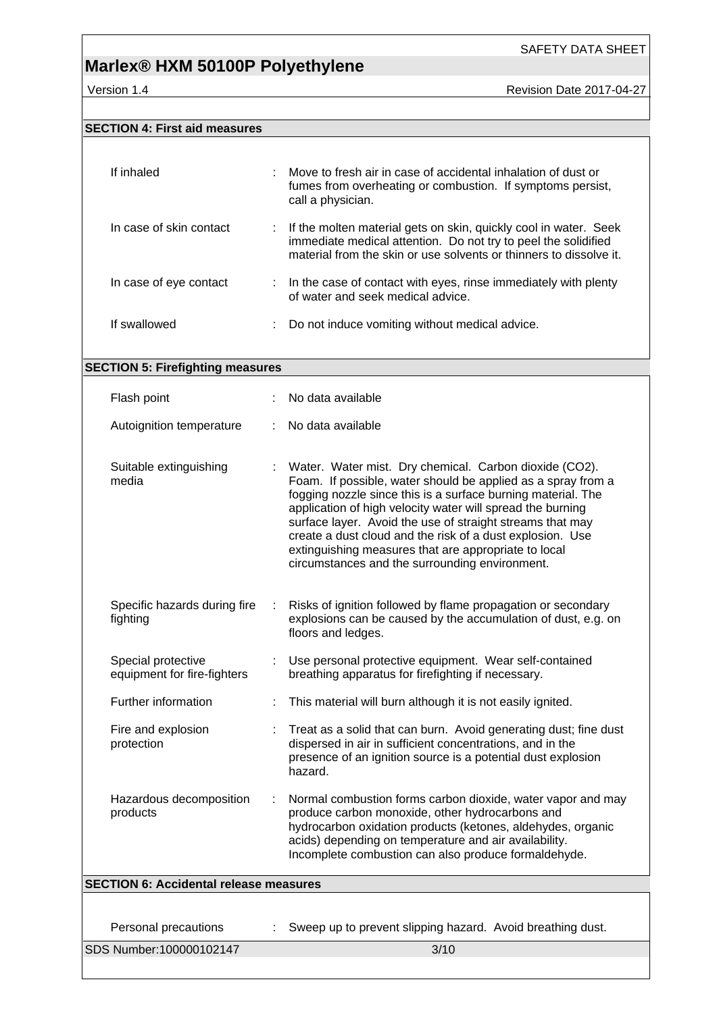version 1.4 Revision Date 2017-04-27

### **SECTION 4: First aid measures**

| If inhaled                                        | Move to fresh air in case of accidental inhalation of dust or<br>fumes from overheating or combustion. If symptoms persist,<br>call a physician.                                                                                                                                                                                                                                                                                                                                         |
|---------------------------------------------------|------------------------------------------------------------------------------------------------------------------------------------------------------------------------------------------------------------------------------------------------------------------------------------------------------------------------------------------------------------------------------------------------------------------------------------------------------------------------------------------|
| In case of skin contact                           | If the molten material gets on skin, quickly cool in water. Seek<br>immediate medical attention. Do not try to peel the solidified<br>material from the skin or use solvents or thinners to dissolve it.                                                                                                                                                                                                                                                                                 |
| In case of eye contact                            | : In the case of contact with eyes, rinse immediately with plenty<br>of water and seek medical advice.                                                                                                                                                                                                                                                                                                                                                                                   |
| If swallowed                                      | Do not induce vomiting without medical advice.                                                                                                                                                                                                                                                                                                                                                                                                                                           |
| <b>SECTION 5: Firefighting measures</b>           |                                                                                                                                                                                                                                                                                                                                                                                                                                                                                          |
| Flash point                                       | No data available                                                                                                                                                                                                                                                                                                                                                                                                                                                                        |
|                                                   |                                                                                                                                                                                                                                                                                                                                                                                                                                                                                          |
| Autoignition temperature                          | No data available                                                                                                                                                                                                                                                                                                                                                                                                                                                                        |
| Suitable extinguishing<br>media                   | Water. Water mist. Dry chemical. Carbon dioxide (CO2).<br>Foam. If possible, water should be applied as a spray from a<br>fogging nozzle since this is a surface burning material. The<br>application of high velocity water will spread the burning<br>surface layer. Avoid the use of straight streams that may<br>create a dust cloud and the risk of a dust explosion. Use<br>extinguishing measures that are appropriate to local<br>circumstances and the surrounding environment. |
| Specific hazards during fire<br>fighting          | Risks of ignition followed by flame propagation or secondary<br>explosions can be caused by the accumulation of dust, e.g. on<br>floors and ledges.                                                                                                                                                                                                                                                                                                                                      |
| Special protective<br>equipment for fire-fighters | Use personal protective equipment. Wear self-contained<br>breathing apparatus for firefighting if necessary.                                                                                                                                                                                                                                                                                                                                                                             |
| Further information                               | This material will burn although it is not easily ignited.                                                                                                                                                                                                                                                                                                                                                                                                                               |
| Fire and explosion<br>protection                  | Treat as a solid that can burn. Avoid generating dust; fine dust<br>dispersed in air in sufficient concentrations, and in the<br>presence of an ignition source is a potential dust explosion<br>hazard.                                                                                                                                                                                                                                                                                 |
| Hazardous decomposition<br>products               | Normal combustion forms carbon dioxide, water vapor and may<br>produce carbon monoxide, other hydrocarbons and<br>hydrocarbon oxidation products (ketones, aldehydes, organic<br>acids) depending on temperature and air availability.<br>Incomplete combustion can also produce formaldehyde.                                                                                                                                                                                           |
| <b>SECTION 6: Accidental release measures</b>     |                                                                                                                                                                                                                                                                                                                                                                                                                                                                                          |
|                                                   |                                                                                                                                                                                                                                                                                                                                                                                                                                                                                          |
| Personal precautions                              | Sweep up to prevent slipping hazard. Avoid breathing dust.                                                                                                                                                                                                                                                                                                                                                                                                                               |
| SDS Number:100000102147                           | 3/10                                                                                                                                                                                                                                                                                                                                                                                                                                                                                     |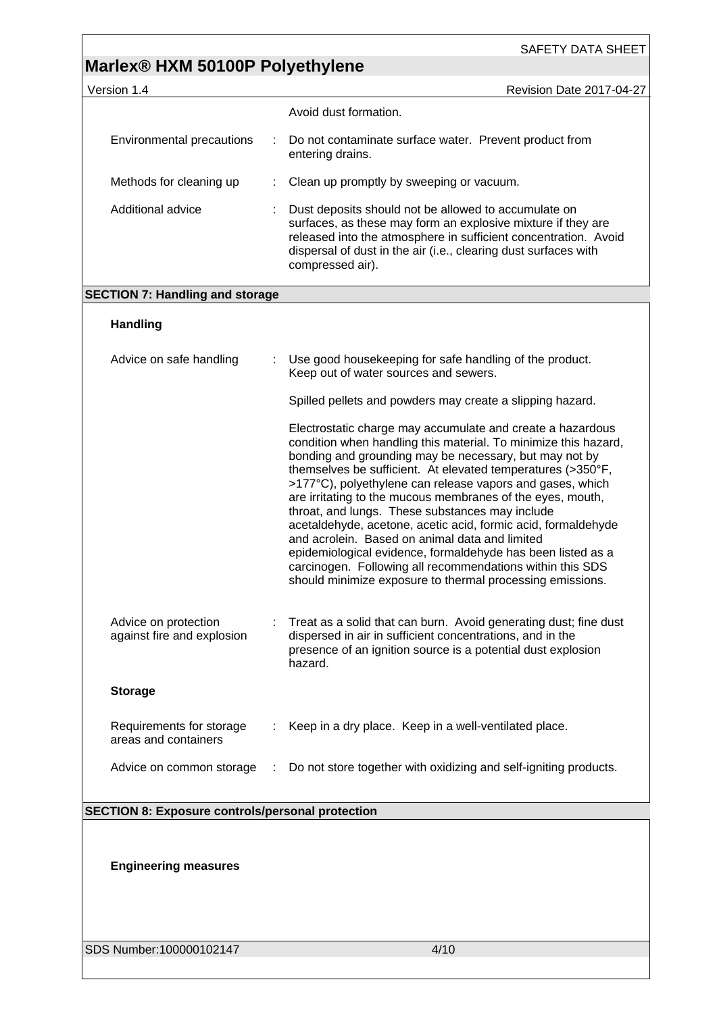| Version 1.4                                             |   | Revision Date 2017-04-27                                                                                                                                                                                                                                                                                                                                                                                                                                                                                                                                                                                                                                                                                                                         |
|---------------------------------------------------------|---|--------------------------------------------------------------------------------------------------------------------------------------------------------------------------------------------------------------------------------------------------------------------------------------------------------------------------------------------------------------------------------------------------------------------------------------------------------------------------------------------------------------------------------------------------------------------------------------------------------------------------------------------------------------------------------------------------------------------------------------------------|
|                                                         |   | Avoid dust formation.                                                                                                                                                                                                                                                                                                                                                                                                                                                                                                                                                                                                                                                                                                                            |
| Environmental precautions                               | ÷ | Do not contaminate surface water. Prevent product from<br>entering drains.                                                                                                                                                                                                                                                                                                                                                                                                                                                                                                                                                                                                                                                                       |
| Methods for cleaning up                                 |   | Clean up promptly by sweeping or vacuum.                                                                                                                                                                                                                                                                                                                                                                                                                                                                                                                                                                                                                                                                                                         |
| Additional advice                                       |   | Dust deposits should not be allowed to accumulate on<br>surfaces, as these may form an explosive mixture if they are<br>released into the atmosphere in sufficient concentration. Avoid<br>dispersal of dust in the air (i.e., clearing dust surfaces with<br>compressed air).                                                                                                                                                                                                                                                                                                                                                                                                                                                                   |
| <b>SECTION 7: Handling and storage</b>                  |   |                                                                                                                                                                                                                                                                                                                                                                                                                                                                                                                                                                                                                                                                                                                                                  |
| <b>Handling</b>                                         |   |                                                                                                                                                                                                                                                                                                                                                                                                                                                                                                                                                                                                                                                                                                                                                  |
| Advice on safe handling                                 |   | Use good housekeeping for safe handling of the product.<br>Keep out of water sources and sewers.                                                                                                                                                                                                                                                                                                                                                                                                                                                                                                                                                                                                                                                 |
|                                                         |   | Spilled pellets and powders may create a slipping hazard.                                                                                                                                                                                                                                                                                                                                                                                                                                                                                                                                                                                                                                                                                        |
|                                                         |   | Electrostatic charge may accumulate and create a hazardous<br>condition when handling this material. To minimize this hazard,<br>bonding and grounding may be necessary, but may not by<br>themselves be sufficient. At elevated temperatures (>350°F,<br>>177°C), polyethylene can release vapors and gases, which<br>are irritating to the mucous membranes of the eyes, mouth,<br>throat, and lungs. These substances may include<br>acetaldehyde, acetone, acetic acid, formic acid, formaldehyde<br>and acrolein. Based on animal data and limited<br>epidemiological evidence, formaldehyde has been listed as a<br>carcinogen. Following all recommendations within this SDS<br>should minimize exposure to thermal processing emissions. |
| Advice on protection<br>against fire and explosion      |   | Treat as a solid that can burn. Avoid generating dust; fine dust<br>dispersed in air in sufficient concentrations, and in the<br>presence of an ignition source is a potential dust explosion<br>hazard.                                                                                                                                                                                                                                                                                                                                                                                                                                                                                                                                         |
| <b>Storage</b>                                          |   |                                                                                                                                                                                                                                                                                                                                                                                                                                                                                                                                                                                                                                                                                                                                                  |
| Requirements for storage<br>areas and containers        |   | Keep in a dry place. Keep in a well-ventilated place.                                                                                                                                                                                                                                                                                                                                                                                                                                                                                                                                                                                                                                                                                            |
| Advice on common storage                                |   | Do not store together with oxidizing and self-igniting products.                                                                                                                                                                                                                                                                                                                                                                                                                                                                                                                                                                                                                                                                                 |
| <b>SECTION 8: Exposure controls/personal protection</b> |   |                                                                                                                                                                                                                                                                                                                                                                                                                                                                                                                                                                                                                                                                                                                                                  |
|                                                         |   |                                                                                                                                                                                                                                                                                                                                                                                                                                                                                                                                                                                                                                                                                                                                                  |
| <b>Engineering measures</b>                             |   |                                                                                                                                                                                                                                                                                                                                                                                                                                                                                                                                                                                                                                                                                                                                                  |
| SDS Number:100000102147                                 |   | 4/10                                                                                                                                                                                                                                                                                                                                                                                                                                                                                                                                                                                                                                                                                                                                             |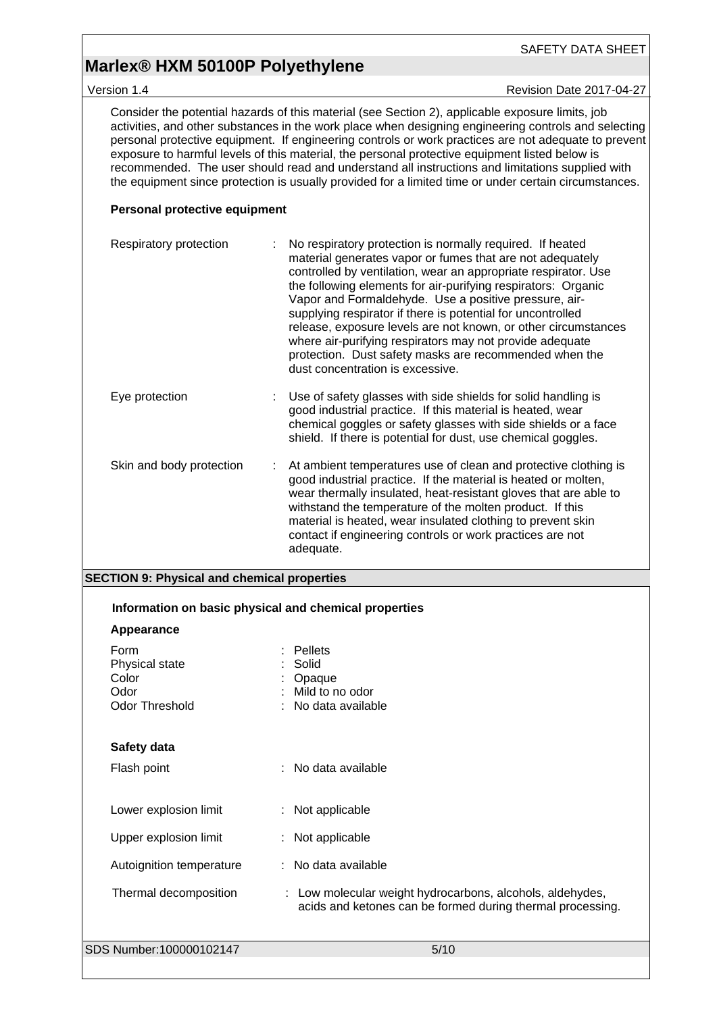Version 1.4 **New Search 2017-04-27** Revision Date 2017-04-27

Consider the potential hazards of this material (see Section 2), applicable exposure limits, job activities, and other substances in the work place when designing engineering controls and selecting personal protective equipment. If engineering controls or work practices are not adequate to prevent exposure to harmful levels of this material, the personal protective equipment listed below is recommended. The user should read and understand all instructions and limitations supplied with the equipment since protection is usually provided for a limited time or under certain circumstances.

### **Personal protective equipment**

| Respiratory protection   | No respiratory protection is normally required. If heated<br>material generates vapor or fumes that are not adequately<br>controlled by ventilation, wear an appropriate respirator. Use<br>the following elements for air-purifying respirators: Organic<br>Vapor and Formaldehyde. Use a positive pressure, air-<br>supplying respirator if there is potential for uncontrolled<br>release, exposure levels are not known, or other circumstances<br>where air-purifying respirators may not provide adequate<br>protection. Dust safety masks are recommended when the<br>dust concentration is excessive. |
|--------------------------|---------------------------------------------------------------------------------------------------------------------------------------------------------------------------------------------------------------------------------------------------------------------------------------------------------------------------------------------------------------------------------------------------------------------------------------------------------------------------------------------------------------------------------------------------------------------------------------------------------------|
| Eye protection           | Use of safety glasses with side shields for solid handling is<br>good industrial practice. If this material is heated, wear<br>chemical goggles or safety glasses with side shields or a face<br>shield. If there is potential for dust, use chemical goggles.                                                                                                                                                                                                                                                                                                                                                |
| Skin and body protection | At ambient temperatures use of clean and protective clothing is<br>good industrial practice. If the material is heated or molten,<br>wear thermally insulated, heat-resistant gloves that are able to<br>withstand the temperature of the molten product. If this<br>material is heated, wear insulated clothing to prevent skin<br>contact if engineering controls or work practices are not<br>adequate.                                                                                                                                                                                                    |

#### **SECTION 9: Physical and chemical properties**

| Information on basic physical and chemical properties            |                                                                                                                         |  |
|------------------------------------------------------------------|-------------------------------------------------------------------------------------------------------------------------|--|
| Appearance                                                       |                                                                                                                         |  |
| Form<br>Physical state<br>Color<br>Odor<br><b>Odor Threshold</b> | <b>Pellets</b><br>Solid<br>Opaque<br>Mild to no odor<br>No data available                                               |  |
| Safety data                                                      |                                                                                                                         |  |
| Flash point                                                      | : No data available                                                                                                     |  |
| Lower explosion limit                                            | : Not applicable                                                                                                        |  |
| Upper explosion limit                                            | : Not applicable                                                                                                        |  |
| Autoignition temperature                                         | : No data available                                                                                                     |  |
| Thermal decomposition                                            | : Low molecular weight hydrocarbons, alcohols, aldehydes,<br>acids and ketones can be formed during thermal processing. |  |
| SDS Number:100000102147                                          | 5/10                                                                                                                    |  |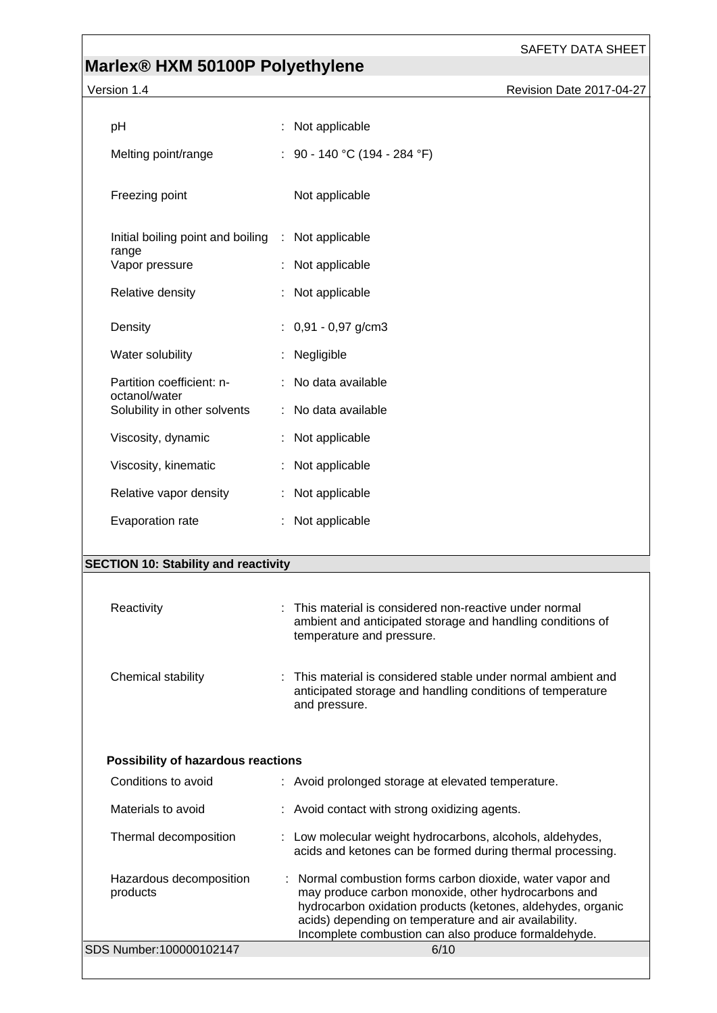## **Marlex® HXM 50100P Polyethylene**

Version 1.4 **Version 1.4** Revision Date 2017-04-27

| рH                                                 | : Not applicable                                      |
|----------------------------------------------------|-------------------------------------------------------|
| Melting point/range                                | : 90 - 140 °C (194 - 284 °F)                          |
| Freezing point                                     | Not applicable                                        |
| Initial boiling point and boiling : Not applicable |                                                       |
| range<br>Vapor pressure                            | Not applicable                                        |
| Relative density                                   | Not applicable                                        |
| Density                                            | $: 0,91 - 0,97$ g/cm3                                 |
| Water solubility                                   | Negligible                                            |
| Partition coefficient: n-<br>octanol/water         | : No data available                                   |
| Solubility in other solvents                       | : No data available                                   |
| Viscosity, dynamic                                 | : Not applicable                                      |
| Viscosity, kinematic                               | Not applicable                                        |
| Relative vapor density                             | : Not applicable                                      |
| Evaporation rate                                   | : Not applicable                                      |
|                                                    |                                                       |
| <b>SECTION 10: Stability and reactivity</b>        |                                                       |
| Reactivity                                         | This material is considered non-reactive under normal |
|                                                    |                                                       |

| Reactivity         | . THIS Material is considered non-reactive under normal<br>ambient and anticipated storage and handling conditions of<br>temperature and pressure. |
|--------------------|----------------------------------------------------------------------------------------------------------------------------------------------------|
| Chemical stability | : This material is considered stable under normal ambient and<br>anticipated storage and handling conditions of temperature<br>and pressure.       |

### **Possibility of hazardous reactions**

| Conditions to avoid                 | : Avoid prolonged storage at elevated temperature.                                                                                                                                                                                                                                               |
|-------------------------------------|--------------------------------------------------------------------------------------------------------------------------------------------------------------------------------------------------------------------------------------------------------------------------------------------------|
| Materials to avoid                  | : Avoid contact with strong oxidizing agents.                                                                                                                                                                                                                                                    |
| Thermal decomposition               | : Low molecular weight hydrocarbons, alcohols, aldehydes,<br>acids and ketones can be formed during thermal processing.                                                                                                                                                                          |
| Hazardous decomposition<br>products | : Normal combustion forms carbon dioxide, water vapor and<br>may produce carbon monoxide, other hydrocarbons and<br>hydrocarbon oxidation products (ketones, aldehydes, organic<br>acids) depending on temperature and air availability.<br>Incomplete combustion can also produce formaldehyde. |
| SDS Number:100000102147             | 6/10                                                                                                                                                                                                                                                                                             |
|                                     |                                                                                                                                                                                                                                                                                                  |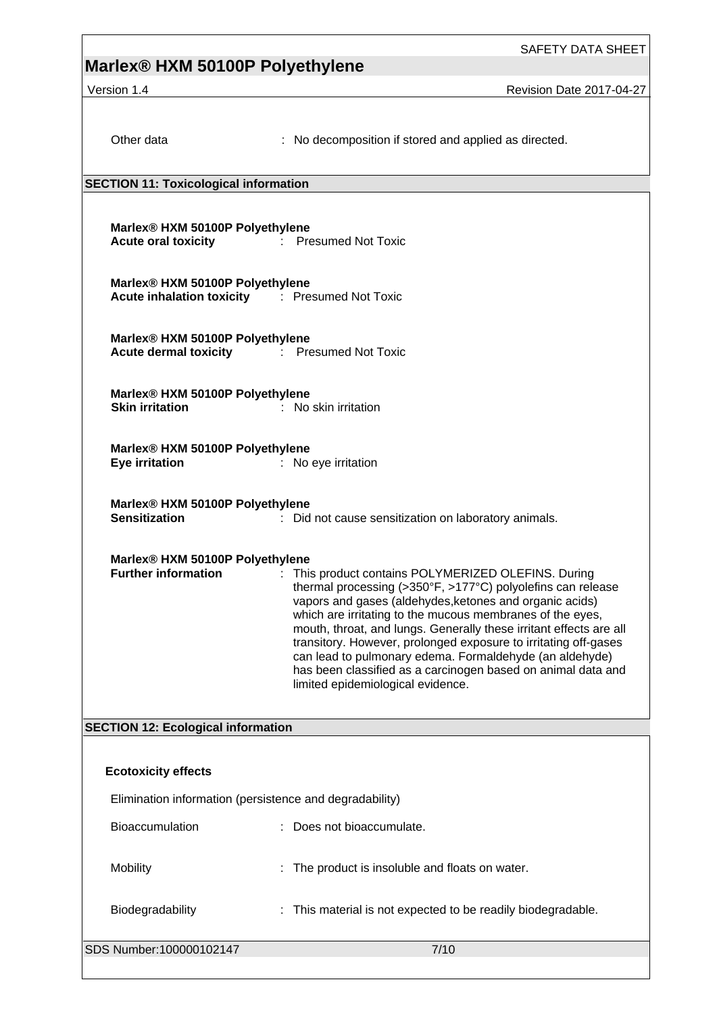### **Marlex® HXM 50100P Polyethylene**

Version 1.4 **New Search 2017-04-27** Revision Date 2017-04-27

: No decomposition if stored and applied as directed.

#### **SECTION 11: Toxicological information**

**Marlex® HXM 50100P Polyethylene Acute oral toxicity** : Presumed Not Toxic

**Marlex® HXM 50100P Polyethylene Acute inhalation toxicity** : Presumed Not Toxic

**Marlex® HXM 50100P Polyethylene Acute dermal toxicity** : Presumed Not Toxic

**Marlex® HXM 50100P Polyethylene Skin irritation** : No skin irritation

**Marlex® HXM 50100P Polyethylene Eye irritation** : No eye irritation

**Marlex® HXM 50100P Polyethylene**

**Sensitization** : Did not cause sensitization on laboratory animals.

### **Marlex® HXM 50100P Polyethylene**

**Further information** : This product contains POLYMERIZED OLEFINS. During thermal processing (>350°F, >177°C) polyolefins can release vapors and gases (aldehydes,ketones and organic acids) which are irritating to the mucous membranes of the eyes, mouth, throat, and lungs. Generally these irritant effects are all transitory. However, prolonged exposure to irritating off-gases can lead to pulmonary edema. Formaldehyde (an aldehyde) has been classified as a carcinogen based on animal data and limited epidemiological evidence.

### **SECTION 12: Ecological information**

| <b>Ecotoxicity effects</b>                              |                                                              |  |  |  |  |
|---------------------------------------------------------|--------------------------------------------------------------|--|--|--|--|
| Elimination information (persistence and degradability) |                                                              |  |  |  |  |
| <b>Bioaccumulation</b>                                  | : Does not bioaccumulate.                                    |  |  |  |  |
| <b>Mobility</b>                                         | : The product is insoluble and floats on water.              |  |  |  |  |
| <b>Biodegradability</b>                                 | : This material is not expected to be readily biodegradable. |  |  |  |  |
| SDS Number:100000102147                                 | 7/10                                                         |  |  |  |  |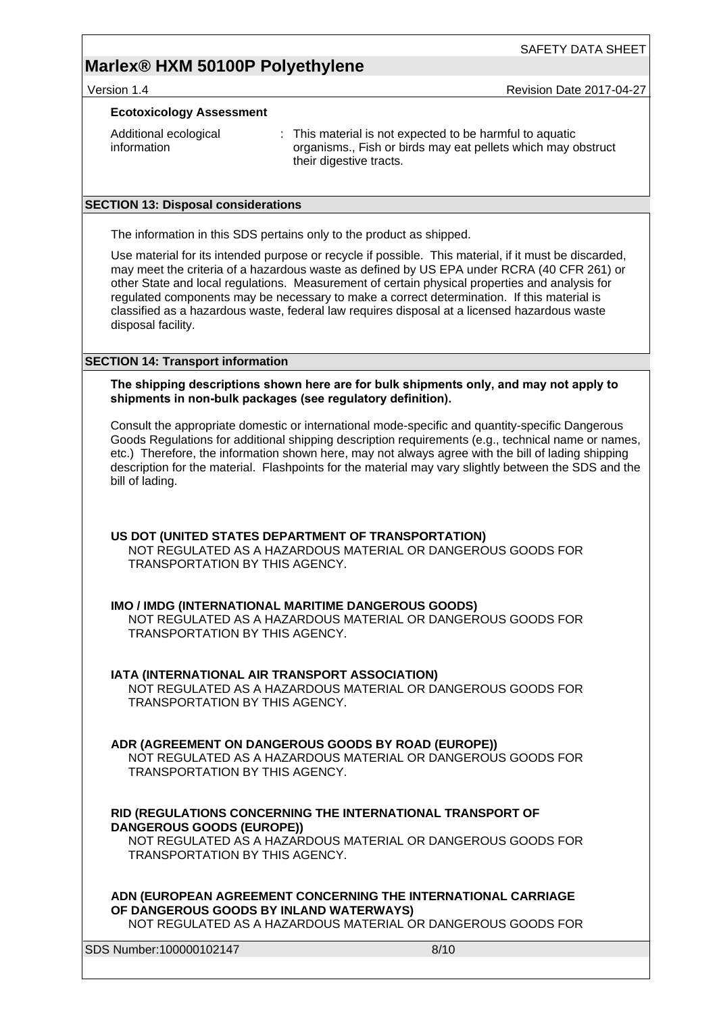Version 1.4 **Version 1.4** Revision Date 2017-04-27

#### **Ecotoxicology Assessment**

| Additional ecological | : This material is not expected to be harmful to aquatic     |
|-----------------------|--------------------------------------------------------------|
| information           | organisms., Fish or birds may eat pellets which may obstruct |
|                       | their digestive tracts.                                      |

#### **SECTION 13: Disposal considerations**

The information in this SDS pertains only to the product as shipped.

Use material for its intended purpose or recycle if possible. This material, if it must be discarded, may meet the criteria of a hazardous waste as defined by US EPA under RCRA (40 CFR 261) or other State and local regulations. Measurement of certain physical properties and analysis for regulated components may be necessary to make a correct determination. If this material is classified as a hazardous waste, federal law requires disposal at a licensed hazardous waste disposal facility.

### **SECTION 14: Transport information**

**The shipping descriptions shown here are for bulk shipments only, and may not apply to shipments in non-bulk packages (see regulatory definition).**

Consult the appropriate domestic or international mode-specific and quantity-specific Dangerous Goods Regulations for additional shipping description requirements (e.g., technical name or names, etc.) Therefore, the information shown here, may not always agree with the bill of lading shipping description for the material. Flashpoints for the material may vary slightly between the SDS and the bill of lading.

**US DOT (UNITED STATES DEPARTMENT OF TRANSPORTATION)** NOT REGULATED AS A HAZARDOUS MATERIAL OR DANGEROUS GOODS FOR TRANSPORTATION BY THIS AGENCY.

### **IMO / IMDG (INTERNATIONAL MARITIME DANGEROUS GOODS)**

NOT REGULATED AS A HAZARDOUS MATERIAL OR DANGEROUS GOODS FOR TRANSPORTATION BY THIS AGENCY.

### **IATA (INTERNATIONAL AIR TRANSPORT ASSOCIATION)**

NOT REGULATED AS A HAZARDOUS MATERIAL OR DANGEROUS GOODS FOR TRANSPORTATION BY THIS AGENCY.

### **ADR (AGREEMENT ON DANGEROUS GOODS BY ROAD (EUROPE))**

NOT REGULATED AS A HAZARDOUS MATERIAL OR DANGEROUS GOODS FOR TRANSPORTATION BY THIS AGENCY.

### **RID (REGULATIONS CONCERNING THE INTERNATIONAL TRANSPORT OF DANGEROUS GOODS (EUROPE))**

NOT REGULATED AS A HAZARDOUS MATERIAL OR DANGEROUS GOODS FOR TRANSPORTATION BY THIS AGENCY.

**ADN (EUROPEAN AGREEMENT CONCERNING THE INTERNATIONAL CARRIAGE OF DANGEROUS GOODS BY INLAND WATERWAYS)**

NOT REGULATED AS A HAZARDOUS MATERIAL OR DANGEROUS GOODS FOR

SDS Number:100000102147 8/10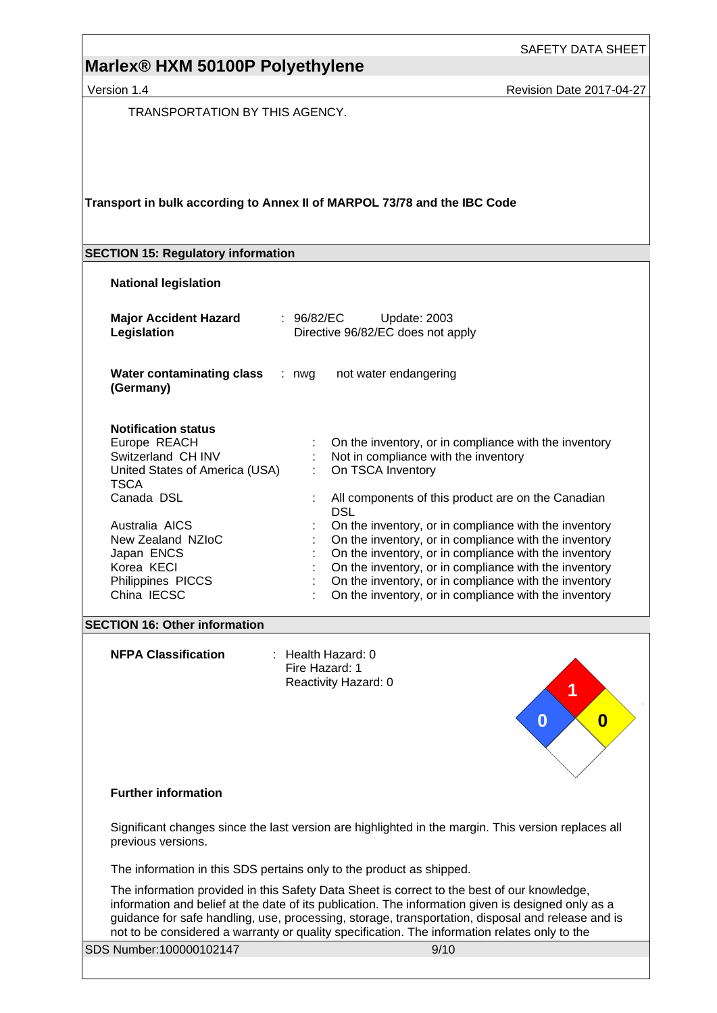Version 1.4 **New Search 2017-04-27** Revision Date 2017-04-27

TRANSPORTATION BY THIS AGENCY.

### **Transport in bulk according to Annex II of MARPOL 73/78 and the IBC Code**

#### **SECTION 15: Regulatory information**

#### **National legislation**

| <b>Major Accident Hazard</b><br>Legislation                                                                | : 96/82/EC<br>Update: 2003<br>Directive 96/82/EC does not apply                                                                                                                                                                                                                                                                                    |
|------------------------------------------------------------------------------------------------------------|----------------------------------------------------------------------------------------------------------------------------------------------------------------------------------------------------------------------------------------------------------------------------------------------------------------------------------------------------|
| <b>Water contaminating class</b><br>(Germany)                                                              | not water endangering<br>: nwg                                                                                                                                                                                                                                                                                                                     |
| <b>Notification status</b><br>Europe REACH<br>Switzerland CH INV<br>United States of America (USA)<br>TSCA | On the inventory, or in compliance with the inventory<br>Not in compliance with the inventory<br>On TSCA Inventory<br>÷                                                                                                                                                                                                                            |
| Canada DSL                                                                                                 | All components of this product are on the Canadian<br><b>DSL</b>                                                                                                                                                                                                                                                                                   |
| Australia AICS<br>New Zealand NZIoC<br>Japan ENCS<br>Korea KECI<br>Philippines PICCS<br>China IECSC        | On the inventory, or in compliance with the inventory<br>On the inventory, or in compliance with the inventory<br>On the inventory, or in compliance with the inventory<br>On the inventory, or in compliance with the inventory<br>On the inventory, or in compliance with the inventory<br>On the inventory, or in compliance with the inventory |

#### **SECTION 16: Other information**

**NFPA Classification** : Health Hazard: 0 Fire Hazard: 1 Reactivity Hazard: 0



#### **Further information**

Significant changes since the last version are highlighted in the margin. This version replaces all previous versions.

The information in this SDS pertains only to the product as shipped.

The information provided in this Safety Data Sheet is correct to the best of our knowledge, information and belief at the date of its publication. The information given is designed only as a guidance for safe handling, use, processing, storage, transportation, disposal and release and is not to be considered a warranty or quality specification. The information relates only to the

SDS Number:100000102147 9/10